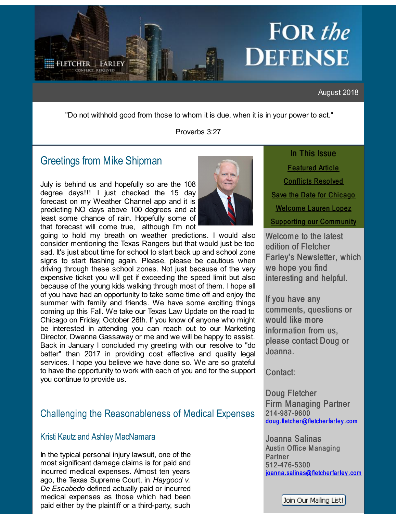# <span id="page-0-0"></span>**FOR** the **DEFENSE**

August 2018

"Do not withhold good from those to whom it is due, when it is in your power to act."

Proverbs 3:27

# Greetings from Mike [Shipman](http://r20.rs6.net/tn.jsp?f=001c54NUyaNuF8pLCWxsgrB8By7cGJXoPcp2tUFf3jl_WGIfoP13KhffNfW-ABBrrGJxyYcocAs8-PlDJzGqaWZ2ZoCazeDEuacWnzqP6cjPDlAMMXkojQNfM8l8Bza5yENi5D_J_Sutg4b7dSN-80zcRJI7GNRRqS-FhoKnxcUGQuBlJj1gNbfO7a2tczGoedHBgCFdWOTTtJFST4Mn3v8Mw==&c=&ch=)

July is behind us and hopefully so are the 108 degree days!!! I just checked the 15 day forecast on my Weather Channel app and it is predicting NO days above 100 degrees and at least some chance of rain. Hopefully some of that forecast will come true, although I'm not

going to hold my breath on weather predictions. I would also consider mentioning the Texas Rangers but that would just be too sad. It's just about time for school to start back up and school zone signs to start flashing again. Please, please be cautious when driving through these school zones. Not just because of the very expensive ticket you will get if exceeding the speed limit but also because of the young kids walking through most of them. I hope all of you have had an opportunity to take some time off and enjoy the summer with family and friends. We have some exciting things coming up this Fall. We take our Texas Law Update on the road to Chicago on Friday, October 26th. If you know of anyone who might be interested in attending you can reach out to our Marketing Director, Dwanna Gassaway or me and we will be happy to assist. Back in January I concluded my greeting with our resolve to "do better" than 2017 in providing cost effective and quality legal services. I hope you believe we have done so. We are so grateful to have the opportunity to work with each of you and for the support you continue to provide us.

## Challenging the Reasonableness of Medical Expenses

### Kristi [Kautz](http://r20.rs6.net/tn.jsp?f=001c54NUyaNuF8pLCWxsgrB8By7cGJXoPcp2tUFf3jl_WGIfoP13KhffNfW-ABBrrGJCoEofR2Z5UnjhXGHG08unlnGA455nyfpFbaO5yPn2YerrSNqClJmWJCfdXLMctUCMPpA8D438dPRoC-tudREpeK37IZESZ6n2zDzw-cPxqMV5XmBVrxUk0QN9njfQOtdS_RK1lSmPGAJdR41RLr9Cw==&c=&ch=) and Ashley [MacNamara](http://r20.rs6.net/tn.jsp?f=001c54NUyaNuF8pLCWxsgrB8By7cGJXoPcp2tUFf3jl_WGIfoP13KhffDWaylrSTxwU7gANNZFd32x796MStB4ASfixOB1pZDCwmoe__5licakHhTjHNJam43jLnBCueMECFRqF8sMh-XbfUSwSdptxoyHqgbRbe8L1LhO9VVMPXrJTbqg6j2jSg9me8Ep2o4a8SyMgi_nHTlnAmtGyRDTAhkCbgmq-wbzkKO2KM7Eu4bI=&c=&ch=)

In the typical personal injury lawsuit, one of the most significant damage claims is for paid and incurred medical expenses. Almost ten years ago, the Texas Supreme Court, in *Haygood v. De Escabedo* defined actually paid or incurred medical expenses as those which had been paid either by the plaintiff or a third-party, such



In This Issue **[Featured](#page-0-0) Article Conflicts [Resolved](#page-0-0)** [Save](#page-0-0) the Date for Chicago Welcome [Lauren](#page-0-0) Lopez Supporting our [Community](#page-0-0)

Welcome to the latest edition of Fletcher Farley's Newsletter, which we hope you find interesting and helpful.

If you have any comments, questions or would like more information from us, please contact Doug or Joanna.

Contact:

Doug Fletcher Firm Managing Partner 214-987-9600 [doug.fletcher@fletcherfarley](mailto:doug.fletcher@fletcherfarley.com).com

Joanna Salinas **Austin Office Managing Partner** 512-476-5300 [joanna.salinas@fletcherfarley](mailto:joanna.salinas@fletcherfarley.com) .com

Join Our Mailing List!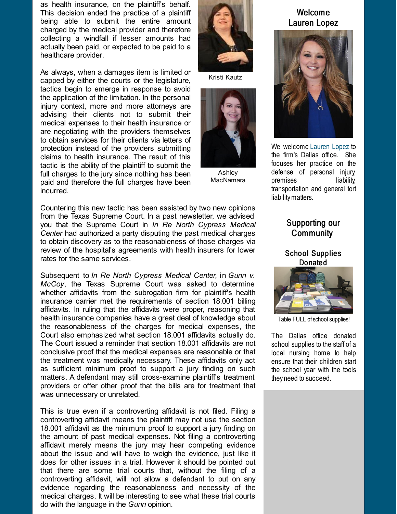as health insurance, on the plaintiff's behalf. This decision ended the practice of a plaintiff being able to submit the entire amount charged by the medical provider and therefore collecting a windfall if lesser amounts had actually been paid, or expected to be paid to a healthcare provider.

As always, when a damages item is limited or capped by either the courts or the legislature, tactics begin to emerge in response to avoid the application of the limitation. In the personal injury context, more and more attorneys are advising their clients not to submit their medical expenses to their health insurance or are negotiating with the providers themselves to obtain services for their clients via letters of protection instead of the providers submitting claims to health insurance. The result of this tactic is the ability of the plaintiff to submit the full charges to the jury since nothing has been paid and therefore the full charges have been incurred.

Countering this new tactic has been assisted by two new opinions from the Texas Supreme Court. In a past newsletter, we advised you that the Supreme Court in *In Re North Cypress Medical Center* had authorized a party disputing the past medical charges to obtain discovery as to the reasonableness of those charges via review of the hospital's agreements with health insurers for lower rates for the same services.

Subsequent to *In Re North Cypress Medical Center,* in *Gunn v. McCoy*, the Texas Supreme Court was asked to determine whether affidavits from the subrogation firm for plaintiff's health insurance carrier met the requirements of section 18.001 billing affidavits. In ruling that the affidavits were proper, reasoning that health insurance companies have a great deal of knowledge about the reasonableness of the charges for medical expenses, the Court also emphasized what section 18.001 affidavits actually do. The Court issued a reminder that section 18.001 affidavits are not conclusive proof that the medical expenses are reasonable or that the treatment was medically necessary. These affidavits only act as sufficient minimum proof to support a jury finding on such matters. A defendant may still cross-examine plaintiff's treatment providers or offer other proof that the bills are for treatment that was unnecessary or unrelated.

This is true even if a controverting affidavit is not filed. Filing a controverting affidavit means the plaintiff may not use the section 18.001 affidavit as the minimum proof to support a jury finding on the amount of past medical expenses. Not filing a controverting affidavit merely means the jury may hear competing evidence about the issue and will have to weigh the evidence, just like it does for other issues in a trial. However it should be pointed out that there are some trial courts that, without the filing of a controverting affidavit, will not allow a defendant to put on any evidence regarding the reasonableness and necessity of the medical charges. It will be interesting to see what these trial courts do with the language in the *Gunn* opinion.



Kristi Kautz



Ashley MacNamara



We welcome [Lauren](http://r20.rs6.net/tn.jsp?f=001c54NUyaNuF8pLCWxsgrB8By7cGJXoPcp2tUFf3jl_WGIfoP13KhffNfW-ABBrrGJefr961Tx8tX6k-VTqEIGv1JH9qCb8LTbKhV_bbiEXS2zTDI7J72_nubFsgf0MxtTOCDoI-G93p8_FEjCOquS1OqlFKzo9yyqAazcqCbWrSUkA38mSOLonuRtLEsmV1hLHA3S7W-TapxZae25Tm1OjA==&c=&ch=) Lopez to the firm's Dallas office. She focuses her practice on the defense of personal injury, premises liability, transportation and general tort liabilitymatters.

## Supporting our Community

School Supplies **Donated** 



Table FULL of school supplies!

The Dallas office donated school supplies to the staff of a local nursing home to help ensure that their children start the school year with the tools they need to succeed.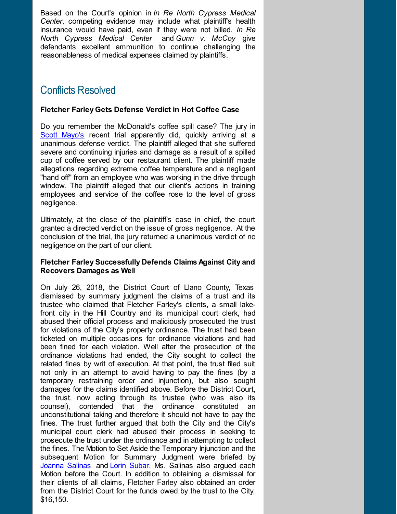Based on the Court's opinion in *In Re North Cypress Medical Center*, competing evidence may include what plaintiff's health insurance would have paid, even if they were not billed. *In Re North Cypress Medical Center* and *Gunn v. McCoy* give defendants excellent ammunition to continue challenging the reasonableness of medical expenses claimed by plaintiffs.

# Conflicts Resolved

#### **Fletcher Farley Gets Defense Verdict in Hot Coffee Case**

Do you remember the McDonald's coffee spill case? The jury in Scott [Mayo's](http://r20.rs6.net/tn.jsp?f=001c54NUyaNuF8pLCWxsgrB8By7cGJXoPcp2tUFf3jl_WGIfoP13KhffNSI0C3ySVq_x9nO_iGdHAQZGL2KIZbafnJXH9XSr9PyAE_dLKX8XCvPtCBErTsWoYQSYzmOtMUMGuAdMpzKH_yIphPLqzhw1h-kTTOQfP_07yuMseMjdkTqOFVwHnBbbQ-wVPtAR84PR0jI2MoadFKibiWSh6_OZA==&c=&ch=) recent trial apparently did, quickly arriving at a unanimous defense verdict. The plaintiff alleged that she suffered severe and continuing injuries and damage as a result of a spilled cup of coffee served by our restaurant client. The plaintiff made allegations regarding extreme coffee temperature and a negligent "hand off" from an employee who was working in the drive through window. The plaintiff alleged that our client's actions in training employees and service of the coffee rose to the level of gross negligence.

Ultimately, at the close of the plaintiff's case in chief, the court granted a directed verdict on the issue of gross negligence. At the conclusion of the trial, the jury returned a unanimous verdict of no negligence on the part of our client.

#### **Fletcher Farley Successfully Defends Claims Against City and Recovers Damages as Wel**l

On July 26, 2018, the District Court of Llano County, Texas dismissed by summary judgment the claims of a trust and its trustee who claimed that Fletcher Farley's clients, a small lakefront city in the Hill Country and its municipal court clerk, had abused their official process and maliciously prosecuted the trust for violations of the City's property ordinance. The trust had been ticketed on multiple occasions for ordinance violations and had been fined for each violation. Well after the prosecution of the ordinance violations had ended, the City sought to collect the related fines by writ of execution. At that point, the trust filed suit not only in an attempt to avoid having to pay the fines (by a temporary restraining order and injunction), but also sought damages for the claims identified above. Before the District Court, the trust, now acting through its trustee (who was also its counsel), contended that the ordinance constituted an unconstitutional taking and therefore it should not have to pay the fines. The trust further argued that both the City and the City's municipal court clerk had abused their process in seeking to prosecute the trust under the ordinance and in attempting to collect the fines. The Motion to Set Aside the Temporary Injunction and the subsequent Motion for Summary Judgment were briefed by [Joanna](http://r20.rs6.net/tn.jsp?f=001c54NUyaNuF8pLCWxsgrB8By7cGJXoPcp2tUFf3jl_WGIfoP13KhffA1hJcUE7W-H4zn_2sYO6Ez-wZjWLlenQ7SMgKhaVrXU-39SgZy-9zfN2CZbnmr16JaJ9NaR9VqcJkBQtueBvwBuYlfMhYWkWByFe8ayUq0wv07E3gMgnHT_vIl4fJZ_BXdWWkpvoJYRAqpIzzudYgL7NUUQTHg1KA==&c=&ch=) Salinas and Lorin [Subar](http://r20.rs6.net/tn.jsp?f=001c54NUyaNuF8pLCWxsgrB8By7cGJXoPcp2tUFf3jl_WGIfoP13KhffLDneaWgUvxbdPVE6r4ozMP-OA9ceSAhsSIJ-qPo9i-5auLPOOtVNTDYhvxatHQkqIbPCwa2_f3dsaD5D0O8sVHFg3RXDOfJx9qlhez9LoeyIuS_MXRouzq_DPXDNAltGLKH3_H7PI0vZ3l7B69vspQvh59f0w6B1Q==&c=&ch=). Ms. Salinas also argued each Motion before the Court. In addition to obtaining a dismissal for their clients of all claims, Fletcher Farley also obtained an order from the District Court for the funds owed by the trust to the City, \$16,150.